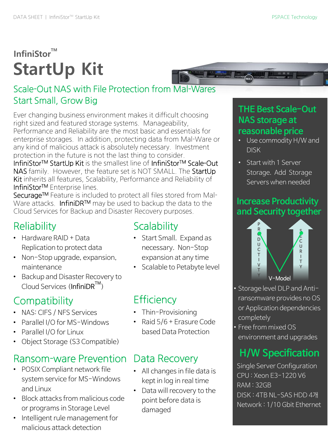# **InfiniStor**™ **StartUp Kit**

#### Scale-Out NAS with File Protection from Mal-Wares Start Small, Grow Big

Ever changing business environment makes it difficult choosing right sized and featured storage systems. Manageability, Performance and Reliability are the most basic and essentials for enterprise storages. In addition, protecting data from Mal-Ware or any kind of malicious attack is absolutely necessary. Investment protection in the future is not the last thing to consider.

InfiniStor™ StartUp Kit is the smallest line of InfiniStor™ Scale-Out NAS family. However, the feature set is NOT SMALL. The StartUp Kit inherits all features, Scalability, Performance and Reliability of InfiniStorTM Enterprise lines.

Securage™ Feature is included to protect all files stored from Mal-Ware attacks. InfiniDR™ may be used to backup the data to the Cloud Services for Backup and Disaster Recovery purposes.

## **Reliability**

- Hardware RAID + Data Replication to protect data
- Non-Stop upgrade, expansion, maintenance
- Backup and Disaster Recovery to  $C$ loud Services (InfiniDR<sup>TM</sup>)

## **Compatibility**

- NAS: CIFS / NFS Services
- Parallel I/O for MS-Windows
- Parallel I/O for Linux
- Object Storage (S3 Compatible)

### Ransom-ware Prevention

- POSIX Compliant network file system service for MS-Windows and Linux
- Block attacks from malicious code or programs in Storage Level
- Intelligent rule management for malicious attack detection

### **Scalability**

- Start Small. Expand as necessary. Non-Stop expansion at any time
- Scalable to Petabyte level

### **Efficiency**

- Thin-Provisioning
- Raid 5/6 + Erasure Code based Data Protection

### Data Recovery

- All changes in file data is kept in log in real time
- Data will recovery to the point before data is damaged



#### **reasonable price**

- Use commodity H/W and DISK
- Start with 1 Server Storage. Add Storage Servers when needed

#### **Increase Productivity and Security together**



• Storage level DLP and Antiransomware provides no OS or Application dependencies completely

• Free from mixed OS environment and upgrades

### **H/W Specification**

Single Server Configuration CPU : Xeon E3-1220 V6 RAM : 32GB DISK : 4TB NL-SAS HDD 4개 Network : 1/10 Gbit Ethernet